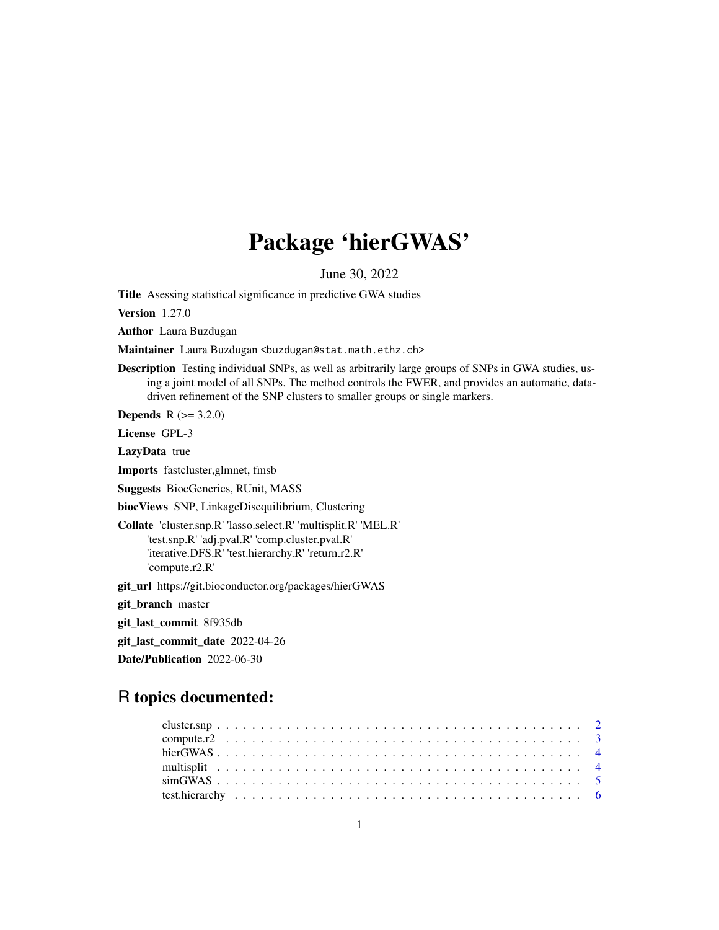## Package 'hierGWAS'

June 30, 2022

<span id="page-0-0"></span>Title Asessing statistical significance in predictive GWA studies

Version 1.27.0

Author Laura Buzdugan

Maintainer Laura Buzdugan <br/>buzdugan@stat.math.ethz.ch>

Description Testing individual SNPs, as well as arbitrarily large groups of SNPs in GWA studies, using a joint model of all SNPs. The method controls the FWER, and provides an automatic, datadriven refinement of the SNP clusters to smaller groups or single markers.

**Depends**  $R (= 3.2.0)$ 

License GPL-3

LazyData true

Imports fastcluster,glmnet, fmsb

Suggests BiocGenerics, RUnit, MASS

biocViews SNP, LinkageDisequilibrium, Clustering

Collate 'cluster.snp.R' 'lasso.select.R' 'multisplit.R' 'MEL.R' 'test.snp.R' 'adj.pval.R' 'comp.cluster.pval.R' 'iterative.DFS.R' 'test.hierarchy.R' 'return.r2.R' 'compute.r2.R'

git\_url https://git.bioconductor.org/packages/hierGWAS

git\_branch master

git\_last\_commit 8f935db

git\_last\_commit\_date 2022-04-26

Date/Publication 2022-06-30

### R topics documented: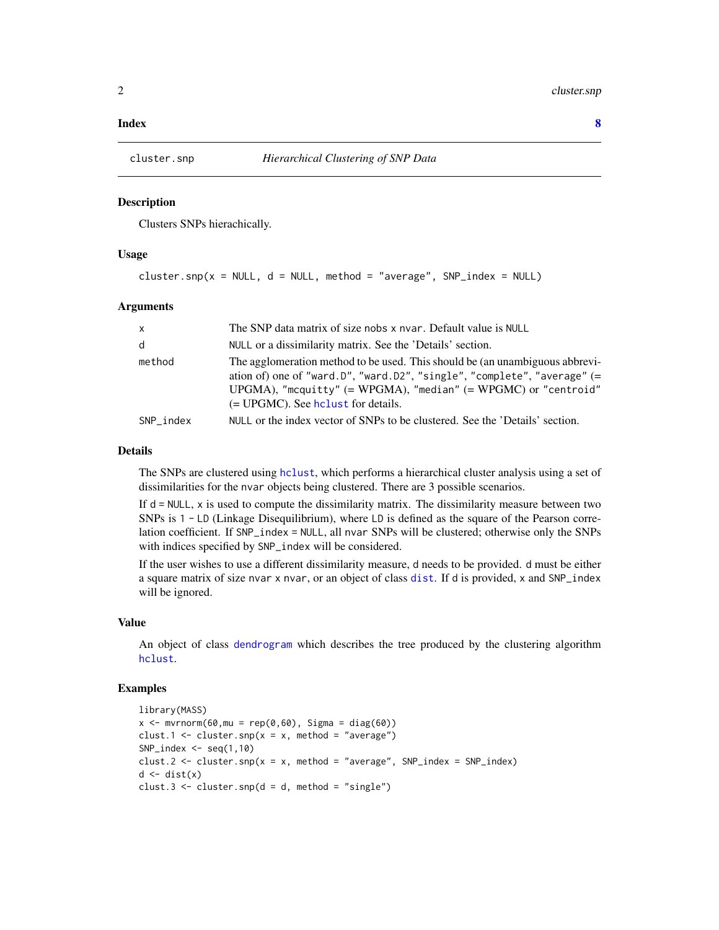#### <span id="page-1-0"></span>**Index** [8](#page-7-0) **8**

<span id="page-1-1"></span>

#### Description

Clusters SNPs hierachically.

#### Usage

```
cluster.snp(x = NULL, d = NULL, method = "average", SNP_index = NULL)
```
#### Arguments

| $\mathsf{x}$ | The SNP data matrix of size nobs x nvar. Default value is NULL                                                                                                                                                                                                     |
|--------------|--------------------------------------------------------------------------------------------------------------------------------------------------------------------------------------------------------------------------------------------------------------------|
| d            | NULL or a dissimilarity matrix. See the 'Details' section.                                                                                                                                                                                                         |
| method       | The agglomeration method to be used. This should be (an unambiguous abbrevi-<br>ation of) one of "ward.D", "ward.D2", "single", "complete", "average" $(=$<br>UPGMA), "mcquitty" (= WPGMA), "median" (= WPGMC) or "centroid"<br>(= UPGMC). See holust for details. |
| SNP index    | NULL or the index vector of SNPs to be clustered. See the 'Details' section.                                                                                                                                                                                       |

#### Details

The SNPs are clustered using [hclust](#page-0-0), which performs a hierarchical cluster analysis using a set of dissimilarities for the nvar objects being clustered. There are 3 possible scenarios.

If  $d = NULL$ , x is used to compute the dissimilarity matrix. The dissimilarity measure between two SNPs is 1 - LD (Linkage Disequilibrium), where LD is defined as the square of the Pearson correlation coefficient. If SNP\_index = NULL, all nvar SNPs will be clustered; otherwise only the SNPs with indices specified by SNP\_index will be considered.

If the user wishes to use a different dissimilarity measure, d needs to be provided. d must be either a square matrix of size nvar x nvar, or an object of class [dist](#page-0-0). If d is provided, x and SNP\_index will be ignored.

#### Value

An object of class [dendrogram](#page-0-0) which describes the tree produced by the clustering algorithm [hclust](#page-0-0).

#### Examples

```
library(MASS)
x \le - mvrnorm(60, mu = rep(0,60), Sigma = diag(60))
clust.1 <- cluster.snp(x = x, method = "average")
SNP\_index \leftarrow seq(1,10)clust.2 \le cluster.snp(x = x, method = "average", SNP_index = SNP_index)
d \leftarrow dist(x)clust.3 \leftarrow cluster.snp(d = d, method = "single")
```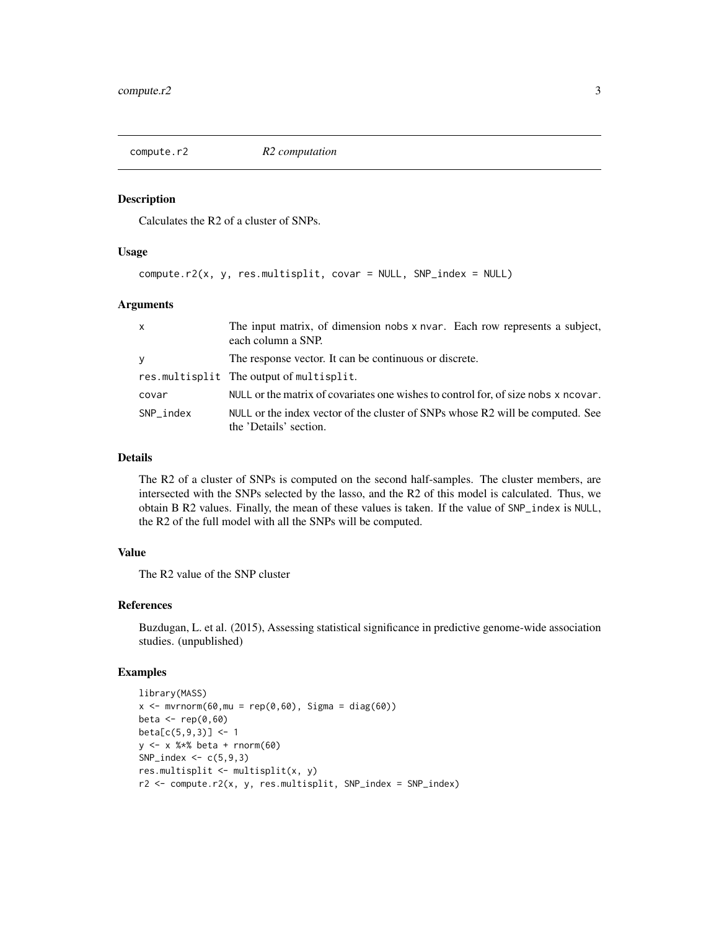<span id="page-2-1"></span><span id="page-2-0"></span>

#### Description

Calculates the R2 of a cluster of SNPs.

#### Usage

compute.r2(x, y, res.multisplit, covar = NULL, SNP\_index = NULL)

#### Arguments

| $\mathsf{x}$ | The input matrix, of dimension nobs x nvar. Each row represents a subject,<br>each column a SNP.         |
|--------------|----------------------------------------------------------------------------------------------------------|
| y            | The response vector. It can be continuous or discrete.                                                   |
|              | res.multisplit The output of multisplit.                                                                 |
| covar        | NULL or the matrix of covariates one wishes to control for, of size nobs x ncovar.                       |
| SNP index    | NULL or the index vector of the cluster of SNPs whose R2 will be computed. See<br>the 'Details' section. |

#### Details

The R2 of a cluster of SNPs is computed on the second half-samples. The cluster members, are intersected with the SNPs selected by the lasso, and the R2 of this model is calculated. Thus, we obtain B R2 values. Finally, the mean of these values is taken. If the value of SNP\_index is NULL, the R2 of the full model with all the SNPs will be computed.

#### Value

The R2 value of the SNP cluster

#### References

Buzdugan, L. et al. (2015), Assessing statistical significance in predictive genome-wide association studies. (unpublished)

#### Examples

```
library(MASS)
x \leq -m \text{wronom}(60, mu = rep(0, 60), Sigma = diag(60))beta \leftarrow \text{rep}(0, 60)beta[c(5,9,3)] <- 1
y <- x %*% beta + rnorm(60)
SNP\_index \leftarrow c(5, 9, 3)res.multisplit <- multisplit(x, y)
r2 <- compute.r2(x, y, res.multisplit, SNP_index = SNP_index)
```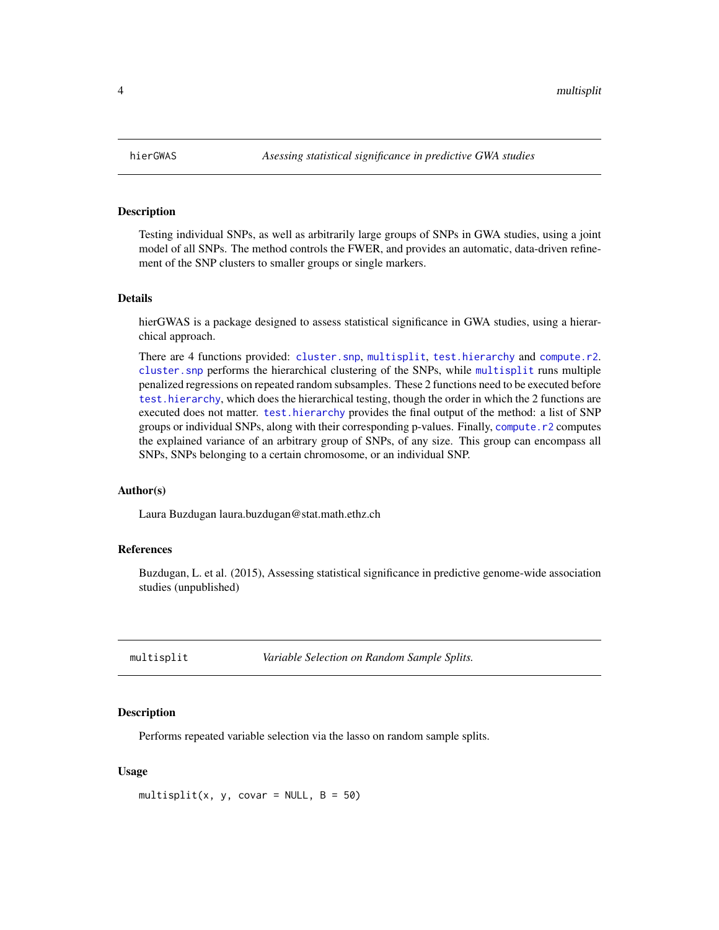<span id="page-3-0"></span>

#### **Description**

Testing individual SNPs, as well as arbitrarily large groups of SNPs in GWA studies, using a joint model of all SNPs. The method controls the FWER, and provides an automatic, data-driven refinement of the SNP clusters to smaller groups or single markers.

#### Details

hierGWAS is a package designed to assess statistical significance in GWA studies, using a hierarchical approach.

There are 4 functions provided: [cluster.snp](#page-1-1), [multisplit](#page-3-1), [test.hierarchy](#page-5-1) and [compute.r2](#page-2-1). [cluster.snp](#page-1-1) performs the hierarchical clustering of the SNPs, while [multisplit](#page-3-1) runs multiple penalized regressions on repeated random subsamples. These 2 functions need to be executed before [test.hierarchy](#page-5-1), which does the hierarchical testing, though the order in which the 2 functions are executed does not matter. [test.hierarchy](#page-5-1) provides the final output of the method: a list of SNP groups or individual SNPs, along with their corresponding p-values. Finally, [compute.r2](#page-2-1) computes the explained variance of an arbitrary group of SNPs, of any size. This group can encompass all SNPs, SNPs belonging to a certain chromosome, or an individual SNP.

#### Author(s)

Laura Buzdugan laura.buzdugan@stat.math.ethz.ch

#### References

Buzdugan, L. et al. (2015), Assessing statistical significance in predictive genome-wide association studies (unpublished)

<span id="page-3-1"></span>multisplit *Variable Selection on Random Sample Splits.*

#### **Description**

Performs repeated variable selection via the lasso on random sample splits.

#### Usage

multisplit(x, y, covar = NULL,  $B = 50$ )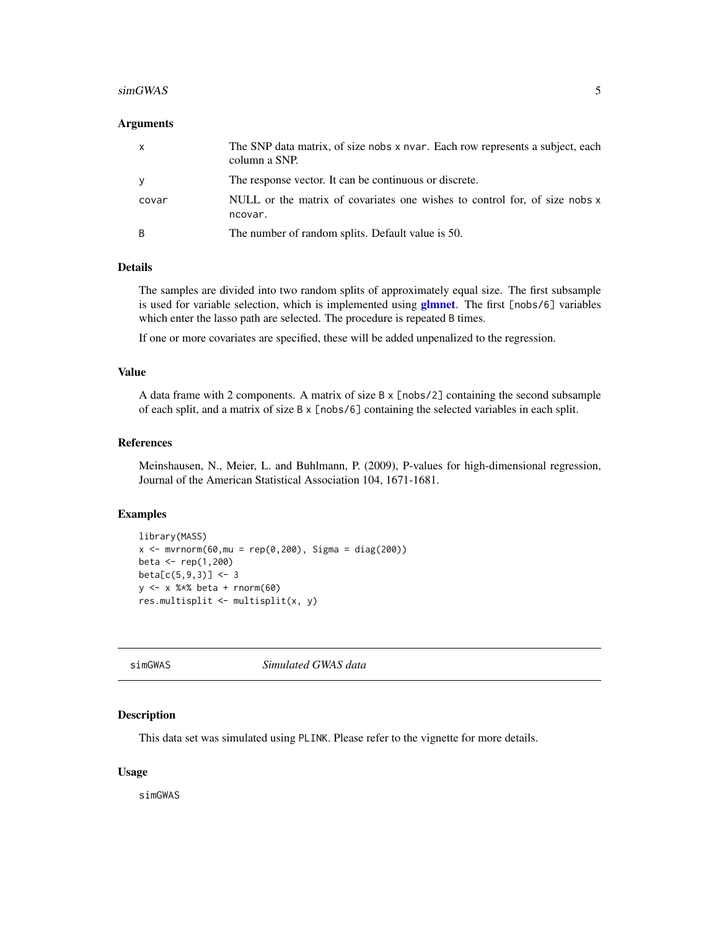#### <span id="page-4-0"></span> $\sim$  55  $\rm \sim$  55  $\rm \sim$  55  $\rm \sim$  55  $\rm \sim$  55  $\rm \sim$  55  $\rm \sim$  55  $\rm \sim$  55  $\rm \sim$  55  $\rm \sim$  55  $\rm \sim$  55  $\rm \sim$  55  $\rm \sim$  55  $\rm \sim$  55  $\rm \sim$  55  $\rm \sim$  55  $\rm \sim$  55  $\rm \sim$  55  $\rm \sim$  55  $\rm \sim$  55  $\rm \sim$  55  $\rm \sim$  55  $\rm$

#### **Arguments**

| X     | The SNP data matrix, of size nobs x nvar. Each row represents a subject, each<br>column a SNP. |
|-------|------------------------------------------------------------------------------------------------|
| у     | The response vector. It can be continuous or discrete.                                         |
| covar | NULL or the matrix of covariates one wishes to control for, of size nobs x<br>ncovar.          |
| B     | The number of random splits. Default value is 50.                                              |

#### Details

The samples are divided into two random splits of approximately equal size. The first subsample is used for variable selection, which is implemented using  $glmnet$ . The first [nobs/6] variables which enter the lasso path are selected. The procedure is repeated B times.

If one or more covariates are specified, these will be added unpenalized to the regression.

#### Value

A data frame with 2 components. A matrix of size B x [nobs/2] containing the second subsample of each split, and a matrix of size B x [nobs/6] containing the selected variables in each split.

#### References

Meinshausen, N., Meier, L. and Buhlmann, P. (2009), P-values for high-dimensional regression, Journal of the American Statistical Association 104, 1671-1681.

#### Examples

```
library(MASS)
x < - mvrnorm(60, mu = rep(0,200), Sigma = diag(200))
beta <- rep(1,200)
beta[c(5,9,3)] <- 3
y <- x %*% beta + rnorm(60)
res.multisplit <- multisplit(x, y)
```
simGWAS *Simulated GWAS data*

#### Description

This data set was simulated using PLINK. Please refer to the vignette for more details.

#### Usage

simGWAS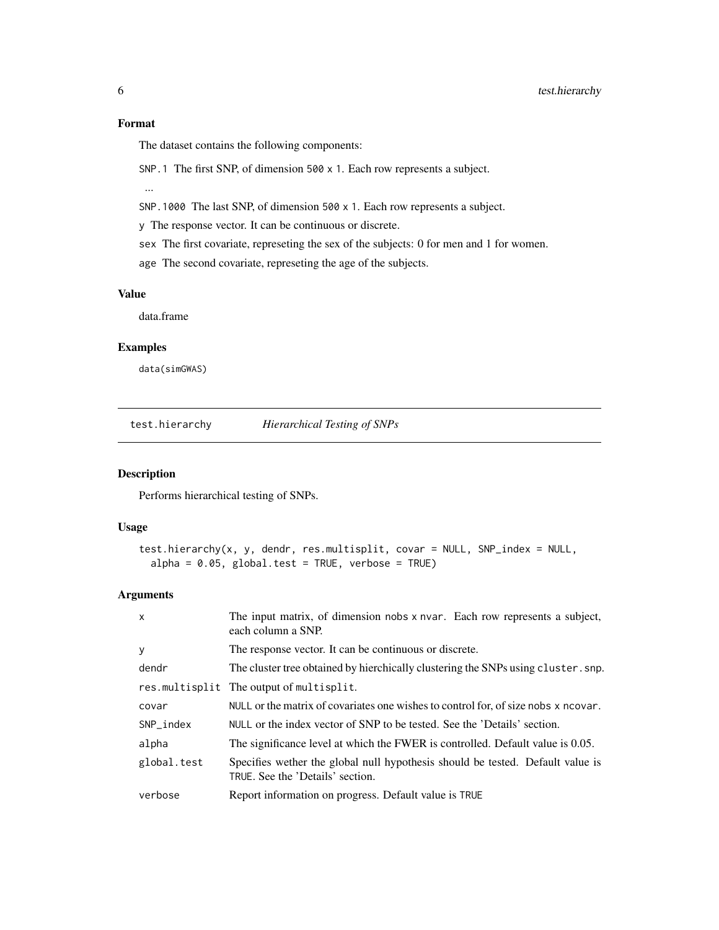<span id="page-5-0"></span>The dataset contains the following components:

SNP.1 The first SNP, of dimension 500 x 1. Each row represents a subject.

...

SNP.1000 The last SNP, of dimension 500 x 1. Each row represents a subject.

y The response vector. It can be continuous or discrete.

sex The first covariate, represeting the sex of the subjects: 0 for men and 1 for women.

age The second covariate, represeting the age of the subjects.

#### Value

data.frame

#### Examples

data(simGWAS)

<span id="page-5-1"></span>test.hierarchy *Hierarchical Testing of SNPs*

#### Description

Performs hierarchical testing of SNPs.

#### Usage

```
test.hierarchy(x, y, dendr, res.multisplit, covar = NULL, SNP_index = NULL,
  alpha = 0.05, global.test = TRUE, verbose = TRUE)
```
#### Arguments

| $\mathsf{x}$ | The input matrix, of dimension nobs x nvar. Each row represents a subject,<br>each column a SNP.                   |
|--------------|--------------------------------------------------------------------------------------------------------------------|
| У            | The response vector. It can be continuous or discrete.                                                             |
| dendr        | The cluster tree obtained by hierchically clustering the SNPs using cluster. snp.                                  |
|              | res.multisplit The output of multisplit.                                                                           |
| covar        | NULL or the matrix of covariates one wishes to control for, of size nobs x ncovar.                                 |
| SNP_index    | NULL or the index vector of SNP to be tested. See the 'Details' section.                                           |
| alpha        | The significance level at which the FWER is controlled. Default value is 0.05.                                     |
| global.test  | Specifies wether the global null hypothesis should be tested. Default value is<br>TRUE. See the 'Details' section. |
| verbose      | Report information on progress. Default value is TRUE                                                              |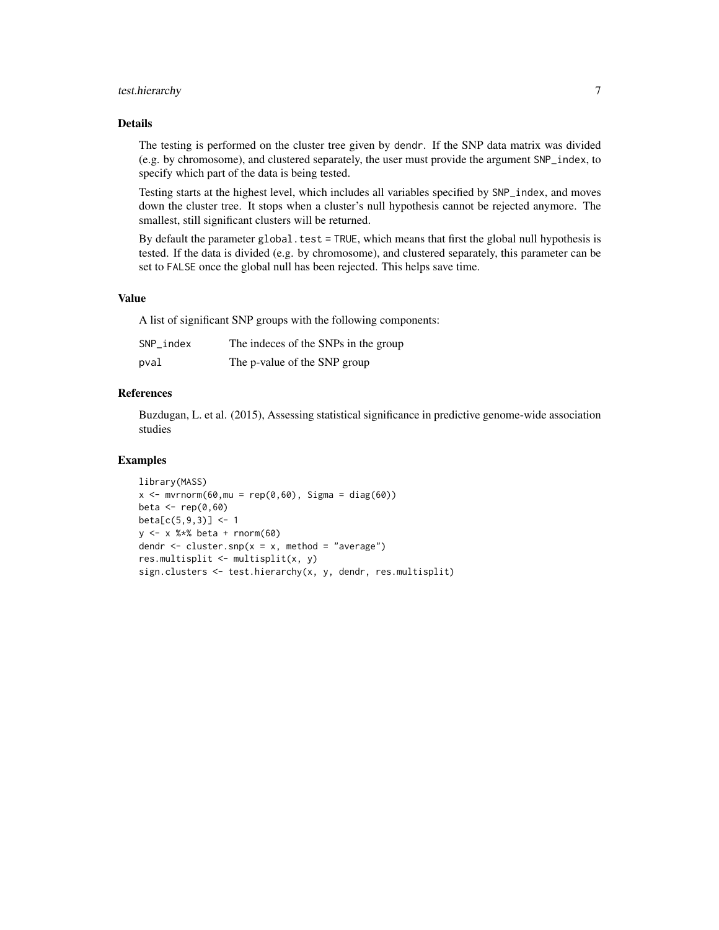#### test.hierarchy 7

#### Details

The testing is performed on the cluster tree given by dendr. If the SNP data matrix was divided (e.g. by chromosome), and clustered separately, the user must provide the argument SNP\_index, to specify which part of the data is being tested.

Testing starts at the highest level, which includes all variables specified by SNP\_index, and moves down the cluster tree. It stops when a cluster's null hypothesis cannot be rejected anymore. The smallest, still significant clusters will be returned.

By default the parameter global.test = TRUE, which means that first the global null hypothesis is tested. If the data is divided (e.g. by chromosome), and clustered separately, this parameter can be set to FALSE once the global null has been rejected. This helps save time.

#### Value

A list of significant SNP groups with the following components:

| SNP index | The indeces of the SNPs in the group |
|-----------|--------------------------------------|
| pval      | The p-value of the SNP group         |

#### References

Buzdugan, L. et al. (2015), Assessing statistical significance in predictive genome-wide association studies

#### Examples

```
library(MASS)
x \le - mvrnorm(60, mu = rep(0,60), Sigma = diag(60))
beta <- rep(0,60)
beta[c(5, 9, 3)] <- 1
y \le -x %*% beta + rnorm(60)
dendr \leq cluster.snp(x = x, method = "average")
res.multisplit <- multisplit(x, y)
sign.clusters <- test.hierarchy(x, y, dendr, res.multisplit)
```